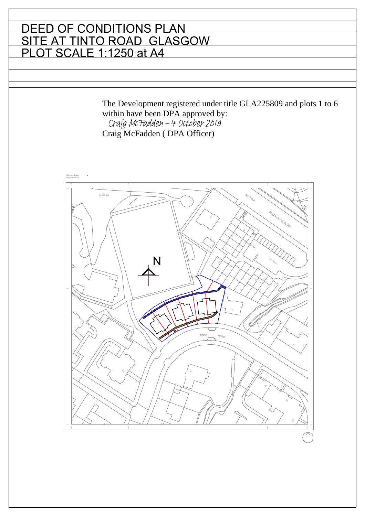#### DEED OF CONDITIONS PLAN SITE AT TINTO ROAD GLASGOW PLOT SCALE 1:1250 at A4

The Development registered under title GLA225809 and plots 1 to 6 within have been DPA approved by:<br>Craig McFadden - 4 October 2019 Craig McFadden ( DPA Officer)

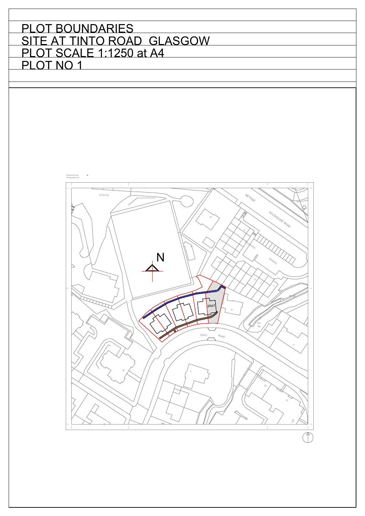

 $\hat{\mathcal{L}}$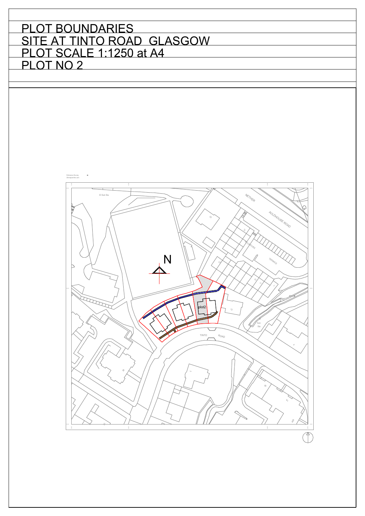

 $\overline{\mathcal{F}}$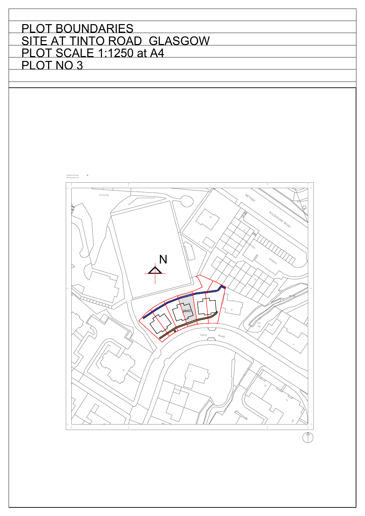

 $\overline{\mathcal{F}}$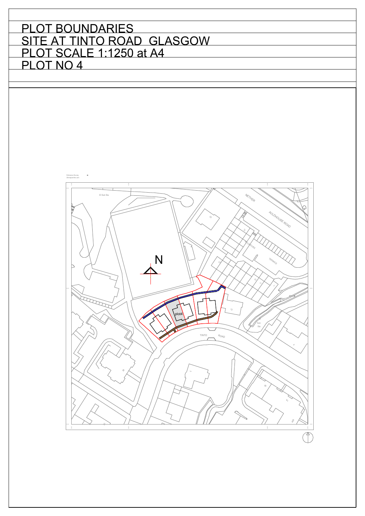

 $\hat{\mathcal{L}}$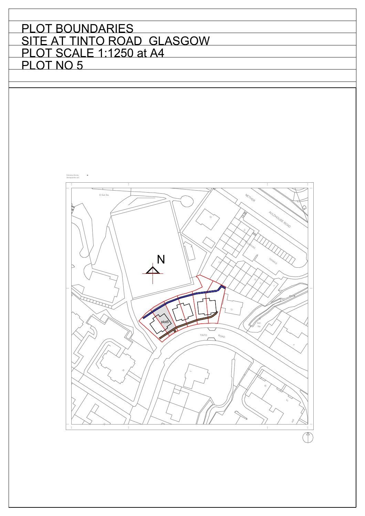

 $\hat{\mathcal{L}}$